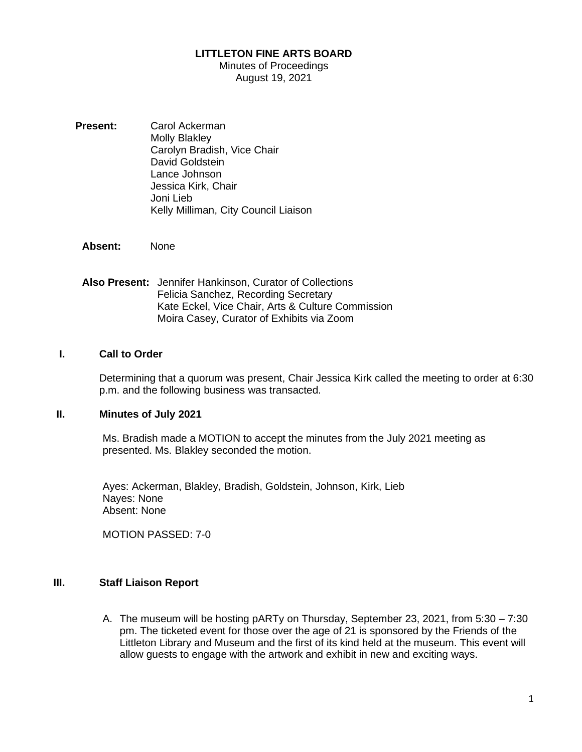#### **LITTLETON FINE ARTS BOARD**

#### Minutes of Proceedings August 19, 2021

- **Present:** Carol Ackerman Molly Blakley Carolyn Bradish, Vice Chair David Goldstein Lance Johnson Jessica Kirk, Chair Joni Lieb Kelly Milliman, City Council Liaison
	- **Absent:** None
	- **Also Present:** Jennifer Hankinson, Curator of Collections Felicia Sanchez, Recording Secretary Kate Eckel, Vice Chair, Arts & Culture Commission Moira Casey, Curator of Exhibits via Zoom

#### **I. Call to Order**

Determining that a quorum was present, Chair Jessica Kirk called the meeting to order at 6:30 p.m. and the following business was transacted.

#### **II. Minutes of July 2021**

Ms. Bradish made a MOTION to accept the minutes from the July 2021 meeting as presented. Ms. Blakley seconded the motion.

Ayes: Ackerman, Blakley, Bradish, Goldstein, Johnson, Kirk, Lieb Nayes: None Absent: None

MOTION PASSED: 7-0

#### **III. Staff Liaison Report**

A. The museum will be hosting pARTy on Thursday, September 23, 2021, from 5:30 – 7:30 pm. The ticketed event for those over the age of 21 is sponsored by the Friends of the Littleton Library and Museum and the first of its kind held at the museum. This event will allow guests to engage with the artwork and exhibit in new and exciting ways.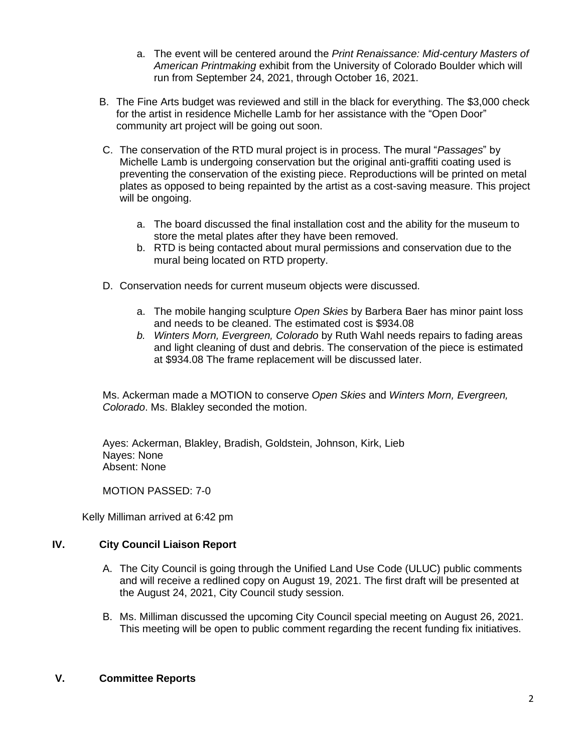- a. The event will be centered around the *Print Renaissance: Mid-century Masters of American Printmaking* exhibit from the University of Colorado Boulder which will run from September 24, 2021, through October 16, 2021.
- B. The Fine Arts budget was reviewed and still in the black for everything. The \$3,000 check for the artist in residence Michelle Lamb for her assistance with the "Open Door" community art project will be going out soon.
- C. The conservation of the RTD mural project is in process. The mural "*Passages*" by Michelle Lamb is undergoing conservation but the original anti-graffiti coating used is preventing the conservation of the existing piece. Reproductions will be printed on metal plates as opposed to being repainted by the artist as a cost-saving measure. This project will be ongoing.
	- a. The board discussed the final installation cost and the ability for the museum to store the metal plates after they have been removed.
	- b. RTD is being contacted about mural permissions and conservation due to the mural being located on RTD property.
- D. Conservation needs for current museum objects were discussed.
	- a. The mobile hanging sculpture *Open Skies* by Barbera Baer has minor paint loss and needs to be cleaned. The estimated cost is \$934.08
	- *b. Winters Morn, Evergreen, Colorado* by Ruth Wahl needs repairs to fading areas and light cleaning of dust and debris. The conservation of the piece is estimated at \$934.08 The frame replacement will be discussed later.

Ms. Ackerman made a MOTION to conserve *Open Skies* and *Winters Morn, Evergreen, Colorado*. Ms. Blakley seconded the motion.

Ayes: Ackerman, Blakley, Bradish, Goldstein, Johnson, Kirk, Lieb Nayes: None Absent: None

MOTION PASSED: 7-0

Kelly Milliman arrived at 6:42 pm

# **IV. City Council Liaison Report**

- A. The City Council is going through the Unified Land Use Code (ULUC) public comments and will receive a redlined copy on August 19, 2021. The first draft will be presented at the August 24, 2021, City Council study session.
- B. Ms. Milliman discussed the upcoming City Council special meeting on August 26, 2021. This meeting will be open to public comment regarding the recent funding fix initiatives.

## **V. Committee Reports**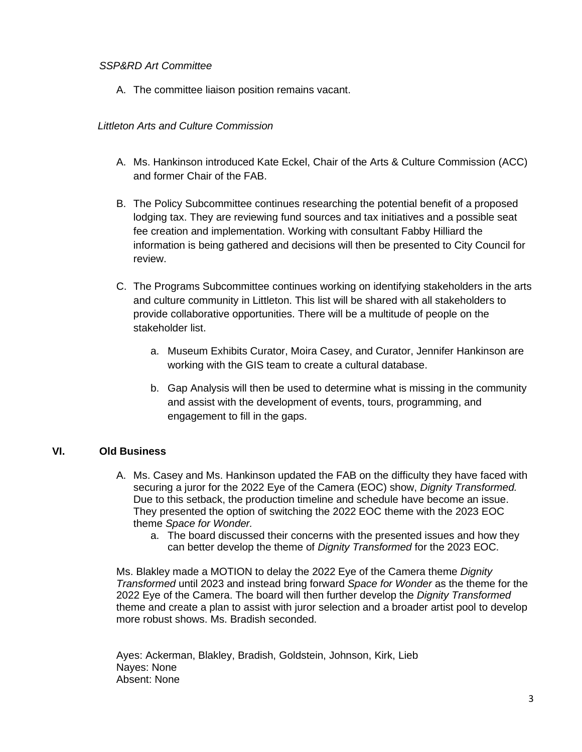## *SSP&RD Art Committee*

A. The committee liaison position remains vacant.

## *Littleton Arts and Culture Commission*

- A. Ms. Hankinson introduced Kate Eckel, Chair of the Arts & Culture Commission (ACC) and former Chair of the FAB.
- B. The Policy Subcommittee continues researching the potential benefit of a proposed lodging tax. They are reviewing fund sources and tax initiatives and a possible seat fee creation and implementation. Working with consultant Fabby Hilliard the information is being gathered and decisions will then be presented to City Council for review.
- C. The Programs Subcommittee continues working on identifying stakeholders in the arts and culture community in Littleton. This list will be shared with all stakeholders to provide collaborative opportunities. There will be a multitude of people on the stakeholder list.
	- a. Museum Exhibits Curator, Moira Casey, and Curator, Jennifer Hankinson are working with the GIS team to create a cultural database.
	- b. Gap Analysis will then be used to determine what is missing in the community and assist with the development of events, tours, programming, and engagement to fill in the gaps.

## **VI. Old Business**

- A. Ms. Casey and Ms. Hankinson updated the FAB on the difficulty they have faced with securing a juror for the 2022 Eye of the Camera (EOC) show, *Dignity Transformed.*  Due to this setback, the production timeline and schedule have become an issue. They presented the option of switching the 2022 EOC theme with the 2023 EOC theme *Space for Wonder.* 
	- a. The board discussed their concerns with the presented issues and how they can better develop the theme of *Dignity Transformed* for the 2023 EOC.

Ms. Blakley made a MOTION to delay the 2022 Eye of the Camera theme *Dignity Transformed* until 2023 and instead bring forward *Space for Wonder* as the theme for the 2022 Eye of the Camera. The board will then further develop the *Dignity Transformed*  theme and create a plan to assist with juror selection and a broader artist pool to develop more robust shows. Ms. Bradish seconded.

Ayes: Ackerman, Blakley, Bradish, Goldstein, Johnson, Kirk, Lieb Nayes: None Absent: None